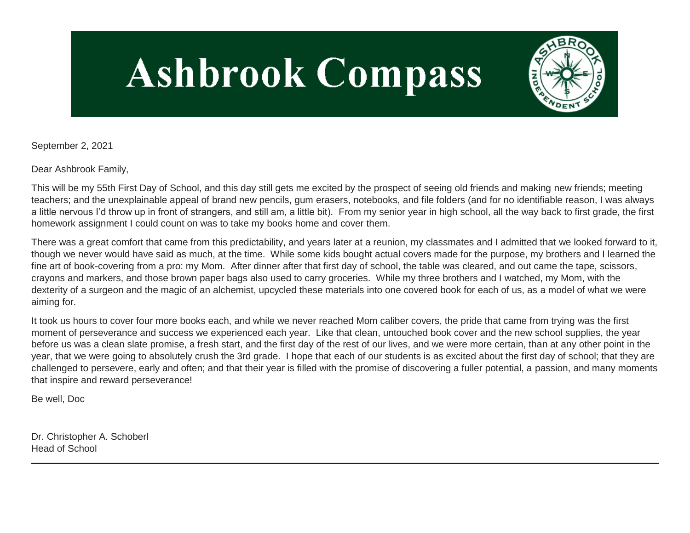# **Ashbrook Compass**



September 2, 2021

Dear Ashbrook Family,

This will be my 55th First Day of School, and this day still gets me excited by the prospect of seeing old friends and making new friends; meeting teachers; and the unexplainable appeal of brand new pencils, gum erasers, notebooks, and file folders (and for no identifiable reason, I was always a little nervous I'd throw up in front of strangers, and still am, a little bit). From my senior year in high school, all the way back to first grade, the first homework assignment I could count on was to take my books home and cover them.

There was a great comfort that came from this predictability, and years later at a reunion, my classmates and I admitted that we looked forward to it, though we never would have said as much, at the time. While some kids bought actual covers made for the purpose, my brothers and I learned the fine art of book-covering from a pro: my Mom. After dinner after that first day of school, the table was cleared, and out came the tape, scissors, crayons and markers, and those brown paper bags also used to carry groceries. While my three brothers and I watched, my Mom, with the dexterity of a surgeon and the magic of an alchemist, upcycled these materials into one covered book for each of us, as a model of what we were aiming for.

It took us hours to cover four more books each, and while we never reached Mom caliber covers, the pride that came from trying was the first moment of perseverance and success we experienced each year. Like that clean, untouched book cover and the new school supplies, the year before us was a clean slate promise, a fresh start, and the first day of the rest of our lives, and we were more certain, than at any other point in the year, that we were going to absolutely crush the 3rd grade. I hope that each of our students is as excited about the first day of school; that they are challenged to persevere, early and often; and that their year is filled with the promise of discovering a fuller potential, a passion, and many moments that inspire and reward perseverance!

Be well, Doc

Dr. Christopher A. Schoberl Head of School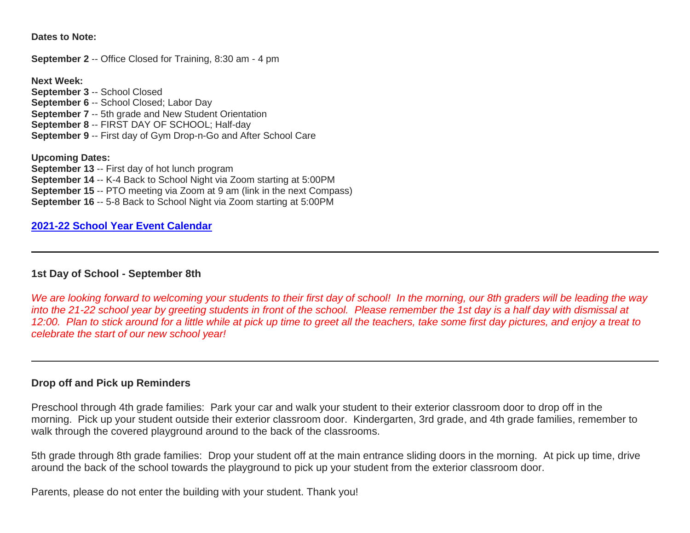**Dates to Note:**

**September 2** -- Office Closed for Training, 8:30 am - 4 pm

**Next Week:**

**September 3** -- School Closed **September 6** -- School Closed; Labor Day **September 7** -- 5th grade and New Student Orientation **September 8** -- FIRST DAY OF SCHOOL; Half-day **September 9** -- First day of Gym Drop-n-Go and After School Care

**Upcoming Dates: September 13** -- First day of hot lunch program **September 14** -- K-4 Back to School Night via Zoom starting at 5:00PM **September 15** -- PTO meeting via Zoom at 9 am (link in the next Compass) **September 16** -- 5-8 Back to School Night via Zoom starting at 5:00PM

## **[2021-22 School Year Event Calendar](http://link.mystudentsprogress.com/ls/click?upn=t3AI3kjK1Pyk9qPfHnOahelBVVSIlRAa3GeSLMbkINmgHr3guxrPuqfp-2Bh-2FJW4nCZ4g8Gi3XkGXC-2FKATZbsSvlLtGaxynoxi8rg7wuoRjJ9ogb5HbX999Eip-2FZE6wLdBt-2FZXHJBS6zquMLtzN9wyAf-2BwWQPV3rI3lDDknuQ1JHMBzJ8gUYT-2F7YzNEwZY9IsL01sHprQ-2FIDOi-2FxvxQxcWetx3uPiVsOO-2BTqPctwW7ytf9RkxC1x3UjTIEBtRaqxRocHrr-2BmciBR4-2BJ-2F9FRK9RIbCVijz3zpNIIcd4PIsUMddSSVNBf6Erlmv-2BHBcLMpY-2BXATDQ1ruaOReFDZmWYSBv8U-2FG-2FKOr0yEkAwqSdMzdcQ3gq4Z79RZNOTZP4nGap5-2B4nzc4nIf29OyD3NhvJHQaLkc85sE-2FfYbPaGyyk6H2FOzJRYThJmT37US6LpTrGNlh9HxVTLYe1LpjcNTBXNJsSKlp-2BAa-2BVuGTdE8v33fTt9-2BgR-2BE9tSlDPzhNHxWPZ2RZ535aLRz3SoCCiPZR3EABfh4FMKDRC4z2q-2Bvjvbtim7SOD4kDD2r5XYSDBe4a3bcI5fNds6iRAQWmj3uDnwn3-2B3tKuGNT1JKaRpJXKTgGLzWZLAnNUo4fvdQC77H83vaK-2BM8PCeLuljt-2FRAsnx0cP-2FGdRouESOyMOB5ORkT-2BH-2Bkw4hRRiiTCpe61BsZqpA-2Bux2Rl_1PndbFfBoQGSZbxwXHHEexw3B2F0fG-2BUmuXm6a-2BX-2BzuB-2BpKbUaocPRcSdMF65b9mSw4FSv0f6Zucct9kYNpGKU8FJj-2B02JFGNpFO0ZG-2FS7nKuL85PhZ6b7eK0ISfUC-2F-2FEB-2FJF0yCDLs5W0ybiatNsK-2BTQmv-2BY9Y7T9vbE0Rzf3Wa89Iu2Lk-2Fudurv2FVFEta0wp7jvpxA1wXNJ-2BJjdJGGsTeTvkF8rpvGvrHu6dyo3vsmEafnNyc-2BQ0lB5zv1X7FQdZIsJgrNxy3o8-2FTpgwzvJpDX-2FQ0F0DC2DPeldo93wbVpmWESKSpZM-2FF4WbOJXhab6xfQWGFMgeb-2BokSAydJGEI-2BqHLdND7mWLaHHdjiYvsqWOv6Cl6T0eW-2BdZpD0JlQMXZrnG4Kvao7GRQx6GX44BiG1yAIBvWZE1wgxRxgBxtZjymnfdKLZPyj0qqoCOSO)**

### **1st Day of School - September 8th**

*We are looking forward to welcoming your students to their first day of school! In the morning, our 8th graders will be leading the way into the 21-22 school year by greeting students in front of the school. Please remember the 1st day is a half day with dismissal at 12:00. Plan to stick around for a little while at pick up time to greet all the teachers, take some first day pictures, and enjoy a treat to celebrate the start of our new school year!*

### **Drop off and Pick up Reminders**

Preschool through 4th grade families: Park your car and walk your student to their exterior classroom door to drop off in the morning. Pick up your student outside their exterior classroom door. Kindergarten, 3rd grade, and 4th grade families, remember to walk through the covered playground around to the back of the classrooms.

5th grade through 8th grade families: Drop your student off at the main entrance sliding doors in the morning. At pick up time, drive around the back of the school towards the playground to pick up your student from the exterior classroom door.

Parents, please do not enter the building with your student. Thank you!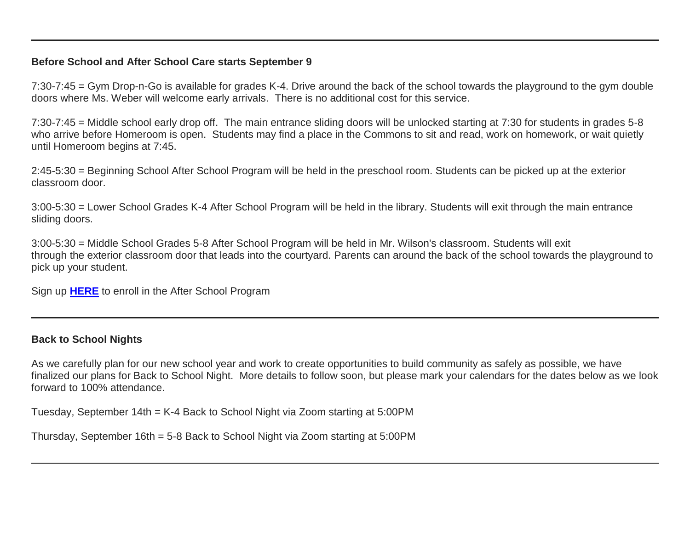## **Before School and After School Care starts September 9**

7:30-7:45 = Gym Drop-n-Go is available for grades K-4. Drive around the back of the school towards the playground to the gym double doors where Ms. Weber will welcome early arrivals. There is no additional cost for this service.

7:30-7:45 = Middle school early drop off. The main entrance sliding doors will be unlocked starting at 7:30 for students in grades 5-8 who arrive before Homeroom is open. Students may find a place in the Commons to sit and read, work on homework, or wait quietly until Homeroom begins at 7:45.

2:45-5:30 = Beginning School After School Program will be held in the preschool room. Students can be picked up at the exterior classroom door.

3:00-5:30 = Lower School Grades K-4 After School Program will be held in the library. Students will exit through the main entrance sliding doors.

3:00-5:30 = Middle School Grades 5-8 After School Program will be held in Mr. Wilson's classroom. Students will exit through the exterior classroom door that leads into the courtyard. Parents can around the back of the school towards the playground to pick up your student.

Sign up **[HERE](http://link.mystudentsprogress.com/ls/click?upn=n7jYKe39nC4PrVAw2BzaOolgU5XUleaJ61qfvNJxTW3uoi8RFzNYUfSc1qXdqajA34djZWrxIBJBxzp2whbybvqIYp3dDOkCDgKesziBdClU1gSff40dOT6un1FKfv7o-2Fi-2Bxuf5e569VqSWQCqae8FBH-2FI-2BG5kCV5h8k0AH6sl4-3DjPbP_1PndbFfBoQGSZbxwXHHEexw3B2F0fG-2BUmuXm6a-2BX-2BzuB-2BpKbUaocPRcSdMF65b9mSw4FSv0f6Zucct9kYNpGKQftJyyrUpqUKXGTlNg7DnMaOkaSfl6K8QDqnJ-2FOo-2FOWbNoy19yMH6lxNb5ftjNAGnr-2FYLKoGLeySJjloLfgAKQ-2B4TrVWgqmlBmhSqmk6ZmgR1LEHdili-2FteVOH9yDYLasRcB54NMX5YJ5AcmdusY8r7JfBymAU-2FasEcebzQZwciCig26s0SxtfHkz9P0o67-2FqLPT8EpuGYbDoZQOe91pQ0eh6NivFVLZYhrKpVZTJILo1Z-2Fd9r7TQLwPnGzF8s8iYILoy7EKKrnpE75su-2FEwM1D2Olta5l85j5ujJNRMAaehxqrrQiqLcjSOe0xJg3V-2Fr8j2uOenTovF-2FnYX4z6KnGWyEAFsipo72Uncf-2FI2vfu)** to enroll in the After School Program

### **Back to School Nights**

As we carefully plan for our new school year and work to create opportunities to build community as safely as possible, we have finalized our plans for Back to School Night. More details to follow soon, but please mark your calendars for the dates below as we look forward to 100% attendance.

Tuesday, September 14th = K-4 Back to School Night via Zoom starting at 5:00PM

Thursday, September 16th = 5-8 Back to School Night via Zoom starting at 5:00PM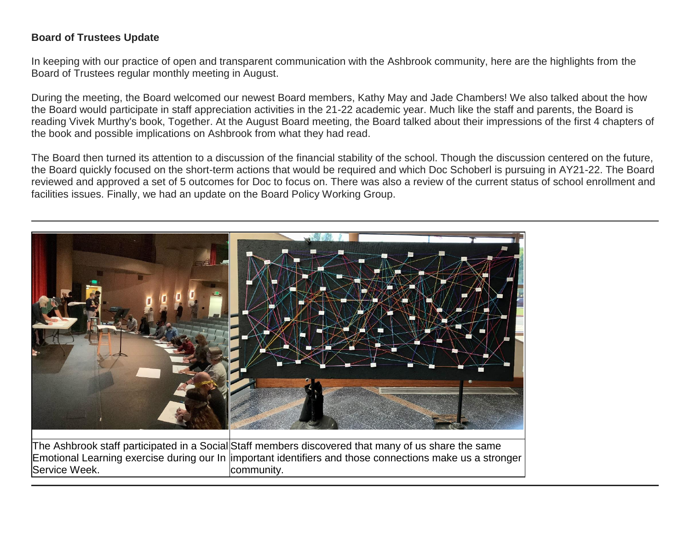# **Board of Trustees Update**

In keeping with our practice of open and transparent communication with the Ashbrook community, here are the highlights from the Board of Trustees regular monthly meeting in August.

During the meeting, the Board welcomed our newest Board members, Kathy May and Jade Chambers! We also talked about the how the Board would participate in staff appreciation activities in the 21-22 academic year. Much like the staff and parents, the Board is reading Vivek Murthy's book, Together. At the August Board meeting, the Board talked about their impressions of the first 4 chapters of the book and possible implications on Ashbrook from what they had read.

The Board then turned its attention to a discussion of the financial stability of the school. Though the discussion centered on the future, the Board quickly focused on the short-term actions that would be required and which Doc Schoberl is pursuing in AY21-22. The Board reviewed and approved a set of 5 outcomes for Doc to focus on. There was also a review of the current status of school enrollment and facilities issues. Finally, we had an update on the Board Policy Working Group.